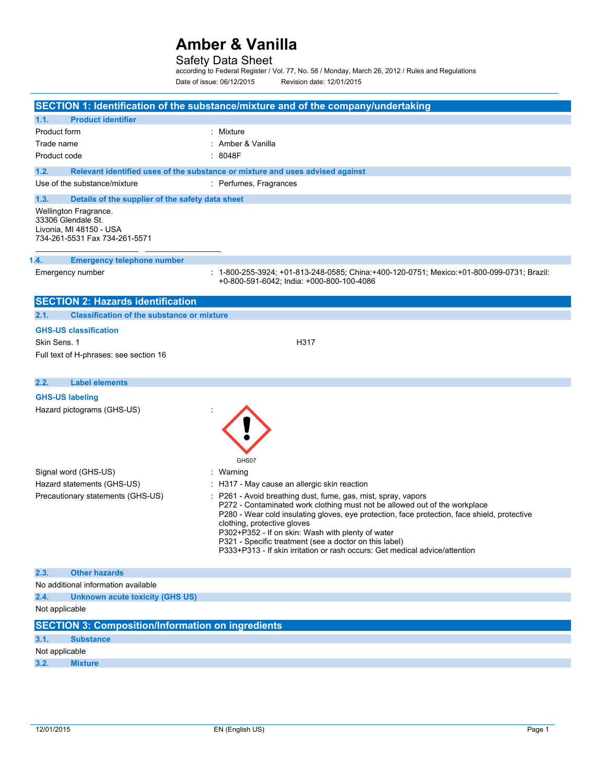## Safety Data Sheet

according to Federal Register / Vol. 77, No. 58 / Monday, March 26, 2012 / Rules and Regulations Date of issue: 06/12/2015 Revision date: 12/01/2015

| SECTION 1: Identification of the substance/mixture and of the company/undertaking                       |                                                                                                                                                                                                                                                                                                                                                                                                                                                                        |  |
|---------------------------------------------------------------------------------------------------------|------------------------------------------------------------------------------------------------------------------------------------------------------------------------------------------------------------------------------------------------------------------------------------------------------------------------------------------------------------------------------------------------------------------------------------------------------------------------|--|
| <b>Product identifier</b><br>1.1.                                                                       |                                                                                                                                                                                                                                                                                                                                                                                                                                                                        |  |
| Product form                                                                                            | : Mixture                                                                                                                                                                                                                                                                                                                                                                                                                                                              |  |
| Trade name                                                                                              | : Amber & Vanilla                                                                                                                                                                                                                                                                                                                                                                                                                                                      |  |
| Product code                                                                                            | : 8048F                                                                                                                                                                                                                                                                                                                                                                                                                                                                |  |
| 1.2.                                                                                                    | Relevant identified uses of the substance or mixture and uses advised against                                                                                                                                                                                                                                                                                                                                                                                          |  |
| Use of the substance/mixture                                                                            | : Perfumes, Fragrances                                                                                                                                                                                                                                                                                                                                                                                                                                                 |  |
| 1.3.<br>Details of the supplier of the safety data sheet                                                |                                                                                                                                                                                                                                                                                                                                                                                                                                                                        |  |
| Wellington Fragrance.<br>33306 Glendale St.<br>Livonia, MI 48150 - USA<br>734-261-5531 Fax 734-261-5571 |                                                                                                                                                                                                                                                                                                                                                                                                                                                                        |  |
| 1.4.<br><b>Emergency telephone number</b>                                                               |                                                                                                                                                                                                                                                                                                                                                                                                                                                                        |  |
| Emergency number                                                                                        | : 1-800-255-3924; +01-813-248-0585; China:+400-120-0751; Mexico:+01-800-099-0731; Brazil:<br>+0-800-591-6042; India: +000-800-100-4086                                                                                                                                                                                                                                                                                                                                 |  |
| <b>SECTION 2: Hazards identification</b>                                                                |                                                                                                                                                                                                                                                                                                                                                                                                                                                                        |  |
| 2.1.<br><b>Classification of the substance or mixture</b>                                               |                                                                                                                                                                                                                                                                                                                                                                                                                                                                        |  |
| <b>GHS-US classification</b>                                                                            |                                                                                                                                                                                                                                                                                                                                                                                                                                                                        |  |
| Skin Sens. 1                                                                                            | H317                                                                                                                                                                                                                                                                                                                                                                                                                                                                   |  |
| Full text of H-phrases: see section 16                                                                  |                                                                                                                                                                                                                                                                                                                                                                                                                                                                        |  |
|                                                                                                         |                                                                                                                                                                                                                                                                                                                                                                                                                                                                        |  |
| <b>Label elements</b><br>2.2.                                                                           |                                                                                                                                                                                                                                                                                                                                                                                                                                                                        |  |
| <b>GHS-US labeling</b>                                                                                  |                                                                                                                                                                                                                                                                                                                                                                                                                                                                        |  |
| Hazard pictograms (GHS-US)                                                                              | GHS07                                                                                                                                                                                                                                                                                                                                                                                                                                                                  |  |
| Signal word (GHS-US)                                                                                    | : Warning                                                                                                                                                                                                                                                                                                                                                                                                                                                              |  |
| Hazard statements (GHS-US)                                                                              | : H317 - May cause an allergic skin reaction                                                                                                                                                                                                                                                                                                                                                                                                                           |  |
| Precautionary statements (GHS-US)                                                                       | P261 - Avoid breathing dust, fume, gas, mist, spray, vapors<br>P272 - Contaminated work clothing must not be allowed out of the workplace<br>P280 - Wear cold insulating gloves, eye protection, face protection, face shield, protective<br>clothing, protective gloves<br>P302+P352 - If on skin: Wash with plenty of water<br>P321 - Specific treatment (see a doctor on this label)<br>P333+P313 - If skin irritation or rash occurs: Get medical advice/attention |  |
| <b>Other hazards</b><br>2.3.                                                                            |                                                                                                                                                                                                                                                                                                                                                                                                                                                                        |  |
| No additional information available                                                                     |                                                                                                                                                                                                                                                                                                                                                                                                                                                                        |  |
|                                                                                                         |                                                                                                                                                                                                                                                                                                                                                                                                                                                                        |  |
| 2.4.<br><b>Unknown acute toxicity (GHS US)</b>                                                          |                                                                                                                                                                                                                                                                                                                                                                                                                                                                        |  |
| Not applicable                                                                                          |                                                                                                                                                                                                                                                                                                                                                                                                                                                                        |  |
| <b>SECTION 3: Composition/Information on ingredients</b>                                                |                                                                                                                                                                                                                                                                                                                                                                                                                                                                        |  |
| 3.1.<br><b>Substance</b>                                                                                |                                                                                                                                                                                                                                                                                                                                                                                                                                                                        |  |
| Not applicable<br>3.2.                                                                                  |                                                                                                                                                                                                                                                                                                                                                                                                                                                                        |  |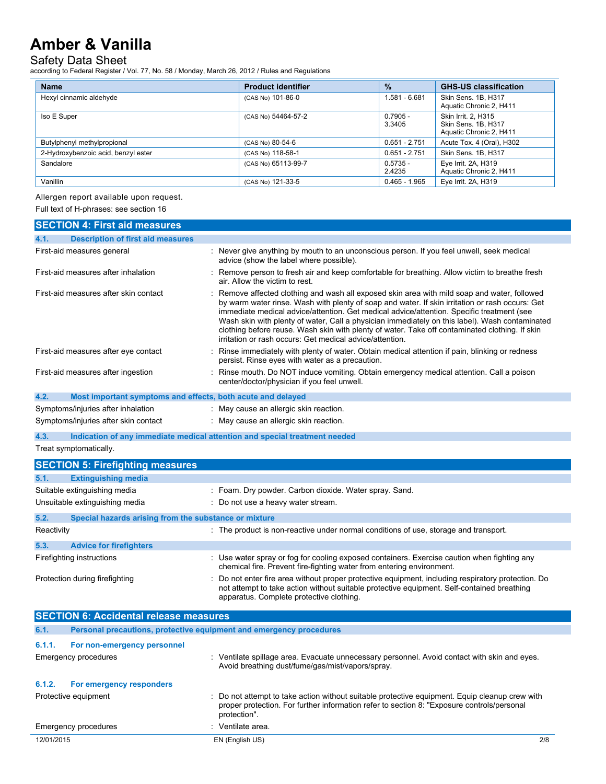### Safety Data Sheet

according to Federal Register / Vol. 77, No. 58 / Monday, March 26, 2012 / Rules and Regulations

| <b>Name</b>                         | <b>Product identifier</b> | $\frac{9}{6}$        | <b>GHS-US classification</b>                                          |
|-------------------------------------|---------------------------|----------------------|-----------------------------------------------------------------------|
| Hexyl cinnamic aldehyde             | (CAS No) 101-86-0         | 1.581 - 6.681        | Skin Sens. 1B, H317<br>Aquatic Chronic 2, H411                        |
| Iso E Super                         | (CAS No) 54464-57-2       | $0.7905 -$<br>3.3405 | Skin Irrit. 2. H315<br>Skin Sens. 1B, H317<br>Aquatic Chronic 2, H411 |
| Butylphenyl methylpropional         | (CAS No) 80-54-6          | $0.651 - 2.751$      | Acute Tox. 4 (Oral), H302                                             |
| 2-Hydroxybenzoic acid, benzyl ester | (CAS No) 118-58-1         | $0.651 - 2.751$      | Skin Sens. 1B, H317                                                   |
| Sandalore                           | (CAS No) 65113-99-7       | $0.5735 -$<br>2.4235 | Eye Irrit. 2A, H319<br>Aquatic Chronic 2, H411                        |
| Vanillin                            | (CAS No) 121-33-5         | $0.465 - 1.965$      | Eye Irrit. 2A, H319                                                   |

## Allergen report available upon request.

Full text of H-phrases: see section 16

| <b>SECTION 4: First aid measures</b>                                |                                                                                                                                                                                                                                                                                                                                                                                                                                                                                                                                                              |
|---------------------------------------------------------------------|--------------------------------------------------------------------------------------------------------------------------------------------------------------------------------------------------------------------------------------------------------------------------------------------------------------------------------------------------------------------------------------------------------------------------------------------------------------------------------------------------------------------------------------------------------------|
| <b>Description of first aid measures</b><br>4.1.                    |                                                                                                                                                                                                                                                                                                                                                                                                                                                                                                                                                              |
| First-aid measures general                                          | : Never give anything by mouth to an unconscious person. If you feel unwell, seek medical<br>advice (show the label where possible).                                                                                                                                                                                                                                                                                                                                                                                                                         |
| First-aid measures after inhalation                                 | : Remove person to fresh air and keep comfortable for breathing. Allow victim to breathe fresh<br>air. Allow the victim to rest.                                                                                                                                                                                                                                                                                                                                                                                                                             |
| First-aid measures after skin contact                               | : Remove affected clothing and wash all exposed skin area with mild soap and water, followed<br>by warm water rinse. Wash with plenty of soap and water. If skin irritation or rash occurs: Get<br>immediate medical advice/attention. Get medical advice/attention. Specific treatment (see<br>Wash skin with plenty of water, Call a physician immediately on this label). Wash contaminated<br>clothing before reuse. Wash skin with plenty of water. Take off contaminated clothing. If skin<br>irritation or rash occurs: Get medical advice/attention. |
| First-aid measures after eye contact                                | : Rinse immediately with plenty of water. Obtain medical attention if pain, blinking or redness<br>persist. Rinse eyes with water as a precaution.                                                                                                                                                                                                                                                                                                                                                                                                           |
| First-aid measures after ingestion                                  | : Rinse mouth. Do NOT induce vomiting. Obtain emergency medical attention. Call a poison<br>center/doctor/physician if you feel unwell.                                                                                                                                                                                                                                                                                                                                                                                                                      |
| 4.2.<br>Most important symptoms and effects, both acute and delayed |                                                                                                                                                                                                                                                                                                                                                                                                                                                                                                                                                              |
| Symptoms/injuries after inhalation                                  | : May cause an allergic skin reaction.                                                                                                                                                                                                                                                                                                                                                                                                                                                                                                                       |
| Symptoms/injuries after skin contact                                | : May cause an allergic skin reaction.                                                                                                                                                                                                                                                                                                                                                                                                                                                                                                                       |
| 4.3.                                                                | Indication of any immediate medical attention and special treatment needed                                                                                                                                                                                                                                                                                                                                                                                                                                                                                   |
| Treat symptomatically.                                              |                                                                                                                                                                                                                                                                                                                                                                                                                                                                                                                                                              |

|            | <b>SECTION 5: Firefighting measures</b>               |                                                                                                                                                                                                  |
|------------|-------------------------------------------------------|--------------------------------------------------------------------------------------------------------------------------------------------------------------------------------------------------|
| 5.1.       | <b>Extinguishing media</b>                            |                                                                                                                                                                                                  |
|            | Suitable extinguishing media                          | : Foam. Dry powder. Carbon dioxide. Water spray. Sand.                                                                                                                                           |
|            | Unsuitable extinguishing media                        | : Do not use a heavy water stream.                                                                                                                                                               |
| 5.2.       | Special hazards arising from the substance or mixture |                                                                                                                                                                                                  |
| Reactivity |                                                       | : The product is non-reactive under normal conditions of use, storage and transport.                                                                                                             |
| 5.3.       | <b>Advice for firefighters</b>                        |                                                                                                                                                                                                  |
|            | Firefighting instructions                             | : Use water spray or fog for cooling exposed containers. Exercise caution when fighting any<br>chemical fire. Prevent fire-fighting water from entering environment.                             |
|            | Protection during firefighting                        | : Do not enter fire area without proper protective equipment, including respiratory protection. Do<br>not attempt to take action without suitable protective equipment. Self-contained breathing |

apparatus. Complete protective clothing.

|            | <b>SECTION 6: Accidental release measures</b> |                                                                                                                                                                                                              |     |
|------------|-----------------------------------------------|--------------------------------------------------------------------------------------------------------------------------------------------------------------------------------------------------------------|-----|
| 6.1.       |                                               | Personal precautions, protective equipment and emergency procedures                                                                                                                                          |     |
| 6.1.1.     | For non-emergency personnel                   |                                                                                                                                                                                                              |     |
|            | Emergency procedures                          | : Ventilate spillage area. Evacuate unnecessary personnel. Avoid contact with skin and eyes.<br>Avoid breathing dust/fume/gas/mist/vapors/spray.                                                             |     |
| 6.1.2.     | For emergency responders                      |                                                                                                                                                                                                              |     |
|            | Protective equipment                          | : Do not attempt to take action without suitable protective equipment. Equip cleanup crew with<br>proper protection. For further information refer to section 8: "Exposure controls/personal<br>protection". |     |
|            | Emergency procedures                          | : Ventilate area.                                                                                                                                                                                            |     |
| 12/01/2015 |                                               | EN (English US)                                                                                                                                                                                              | 2/8 |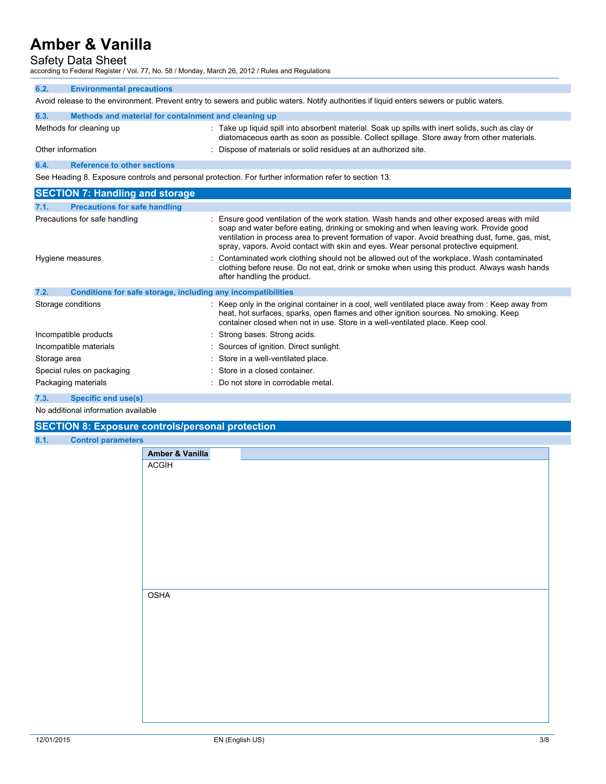## Safety Data Sheet

according to Federal Register / Vol. 77, No. 58 / Monday, March 26, 2012 / Rules and Regulations

| 6.2. | <b>Environmental precautions</b>                                                                                                          |                                                                                                                                                                                                                                                                                                                                                                                 |  |  |
|------|-------------------------------------------------------------------------------------------------------------------------------------------|---------------------------------------------------------------------------------------------------------------------------------------------------------------------------------------------------------------------------------------------------------------------------------------------------------------------------------------------------------------------------------|--|--|
|      | Avoid release to the environment. Prevent entry to sewers and public waters. Notify authorities if liquid enters sewers or public waters. |                                                                                                                                                                                                                                                                                                                                                                                 |  |  |
| 6.3. | Methods and material for containment and cleaning up                                                                                      |                                                                                                                                                                                                                                                                                                                                                                                 |  |  |
|      | Methods for cleaning up                                                                                                                   | : Take up liquid spill into absorbent material. Soak up spills with inert solids, such as clay or<br>diatomaceous earth as soon as possible. Collect spillage. Store away from other materials.                                                                                                                                                                                 |  |  |
|      | Other information                                                                                                                         | Dispose of materials or solid residues at an authorized site.                                                                                                                                                                                                                                                                                                                   |  |  |
| 6.4. | <b>Reference to other sections</b>                                                                                                        |                                                                                                                                                                                                                                                                                                                                                                                 |  |  |
|      |                                                                                                                                           | See Heading 8. Exposure controls and personal protection. For further information refer to section 13.                                                                                                                                                                                                                                                                          |  |  |
|      | <b>SECTION 7: Handling and storage</b>                                                                                                    |                                                                                                                                                                                                                                                                                                                                                                                 |  |  |
| 7.1. | <b>Precautions for safe handling</b>                                                                                                      |                                                                                                                                                                                                                                                                                                                                                                                 |  |  |
|      | Precautions for safe handling                                                                                                             | Ensure good ventilation of the work station. Wash hands and other exposed areas with mild<br>soap and water before eating, drinking or smoking and when leaving work. Provide good<br>ventilation in process area to prevent formation of vapor. Avoid breathing dust, fume, gas, mist,<br>spray, vapors. Avoid contact with skin and eyes. Wear personal protective equipment. |  |  |
|      | Hygiene measures                                                                                                                          | Contaminated work clothing should not be allowed out of the workplace. Wash contaminated<br>clothing before reuse. Do not eat, drink or smoke when using this product. Always wash hands<br>after handling the product.                                                                                                                                                         |  |  |
| 7.2. | Conditions for safe storage, including any incompatibilities                                                                              |                                                                                                                                                                                                                                                                                                                                                                                 |  |  |
|      | Storage conditions                                                                                                                        | : Keep only in the original container in a cool, well ventilated place away from : Keep away from<br>heat, hot surfaces, sparks, open flames and other ignition sources. No smoking. Keep<br>container closed when not in use. Store in a well-ventilated place. Keep cool.                                                                                                     |  |  |
|      | Incompatible products                                                                                                                     | : Strong bases. Strong acids.                                                                                                                                                                                                                                                                                                                                                   |  |  |
|      | Incompatible materials                                                                                                                    | : Sources of ignition. Direct sunlight.                                                                                                                                                                                                                                                                                                                                         |  |  |
|      | Storage area                                                                                                                              | : Store in a well-ventilated place.                                                                                                                                                                                                                                                                                                                                             |  |  |
|      | Special rules on packaging                                                                                                                | Store in a closed container.                                                                                                                                                                                                                                                                                                                                                    |  |  |
|      | Packaging materials                                                                                                                       | : Do not store in corrodable metal.                                                                                                                                                                                                                                                                                                                                             |  |  |
| 7.3. | Specific end use(s)                                                                                                                       |                                                                                                                                                                                                                                                                                                                                                                                 |  |  |

No additional information available

### **SECTION 8: Exposure controls/personal protection**

**8.1. Control parameters**

| S               |  |
|-----------------|--|
| Amber & Vanilla |  |
| ACGIH           |  |
|                 |  |
|                 |  |
|                 |  |
|                 |  |
|                 |  |
|                 |  |
|                 |  |
|                 |  |
|                 |  |
|                 |  |
| <b>OSHA</b>     |  |
|                 |  |
|                 |  |
|                 |  |
|                 |  |
|                 |  |
|                 |  |
|                 |  |
|                 |  |
|                 |  |
|                 |  |
|                 |  |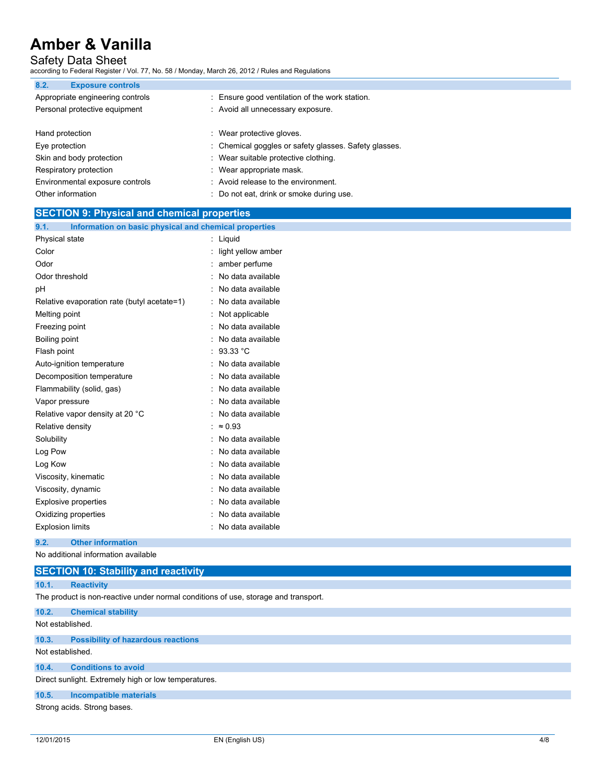# Safety Data Sheet

according to Federal Register / Vol. 77, No. 58 / Monday, March 26, 2012 / Rules and Regulations

| 8.2.<br><b>Exposure controls</b> |                                                       |
|----------------------------------|-------------------------------------------------------|
| Appropriate engineering controls | : Ensure good ventilation of the work station.        |
| Personal protective equipment    | : Avoid all unnecessary exposure.                     |
|                                  |                                                       |
| Hand protection                  | : Wear protective gloves.                             |
| Eye protection                   | : Chemical goggles or safety glasses. Safety glasses. |
| Skin and body protection         | : Wear suitable protective clothing.                  |
| Respiratory protection           | : Wear appropriate mask.                              |
| Environmental exposure controls  | : Avoid release to the environment.                   |
| Other information                | : Do not eat, drink or smoke during use.              |

| <b>SECTION 9: Physical and chemical properties</b>            |                      |
|---------------------------------------------------------------|----------------------|
| Information on basic physical and chemical properties<br>9.1. |                      |
| Physical state                                                | : Liquid             |
| Color                                                         | : light yellow amber |
| Odor                                                          | : amber perfume      |
| Odor threshold                                                | : No data available  |
| рH                                                            | : No data available  |
| Relative evaporation rate (butyl acetate=1)                   | : No data available  |
| Melting point                                                 | : Not applicable     |
| Freezing point                                                | : No data available  |
| Boiling point                                                 | : No data available  |
| Flash point                                                   | : 93.33 °C           |
| Auto-ignition temperature                                     | : No data available  |
| Decomposition temperature                                     | : No data available  |
| Flammability (solid, gas)                                     | : No data available  |
| Vapor pressure                                                | : No data available  |
| Relative vapor density at 20 °C                               | : No data available  |
| Relative density                                              | : $\approx 0.93$     |
| Solubility                                                    | : No data available  |
| Log Pow                                                       | : No data available  |
| Log Kow                                                       | : No data available  |
| Viscosity, kinematic                                          | : No data available  |
| Viscosity, dynamic                                            | : No data available  |
| <b>Explosive properties</b>                                   | : No data available  |
| Oxidizing properties                                          | : No data available  |
| <b>Explosion limits</b>                                       | : No data available  |

## **9.2. Other information**

No additional information available

### **SECTION 10: Stability and reactivity**

### **10.1. Reactivity**

The product is non-reactive under normal conditions of use, storage and transport.

### **10.2. Chemical stability**

### Not established.

### **10.3. Possibility of hazardous reactions**

Not established.

## **10.4. Conditions to avoid**

Direct sunlight. Extremely high or low temperatures.

### **10.5. Incompatible materials**

Strong acids. Strong bases.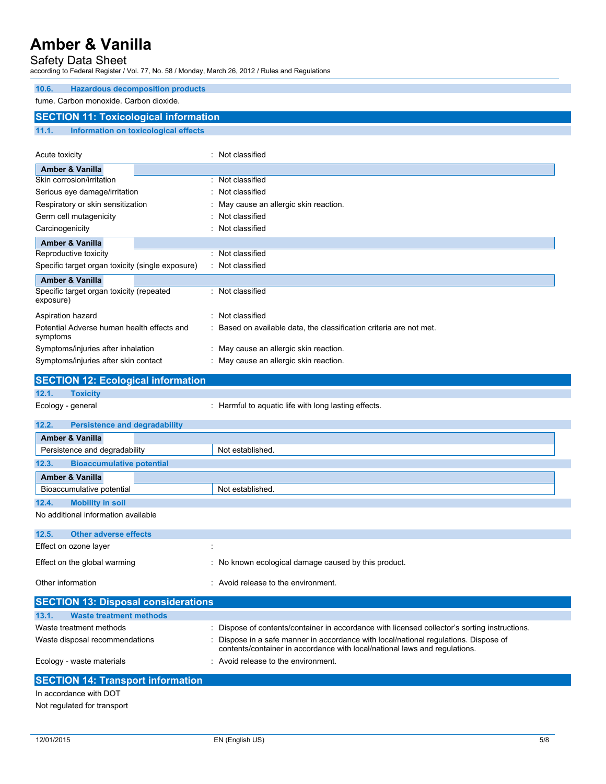## Safety Data Sheet

according to Federal Register / Vol. 77, No. 58 / Monday, March 26, 2012 / Rules and Regulations

| 10.6. | <b>Hazardous decomposition products</b>      |  |
|-------|----------------------------------------------|--|
|       | fume. Carbon monoxide. Carbon dioxide.       |  |
|       | <b>SECTION 11: Toxicological information</b> |  |
| 11.1. | Information on toxicological effects         |  |

| Acute toxicity                                         | Not classified                                                      |
|--------------------------------------------------------|---------------------------------------------------------------------|
| <b>Amber &amp; Vanilla</b>                             |                                                                     |
| Skin corrosion/irritation                              | Not classified<br>٠                                                 |
| Serious eye damage/irritation                          | : Not classified                                                    |
| Respiratory or skin sensitization                      | : May cause an allergic skin reaction.                              |
| Germ cell mutagenicity                                 | : Not classified                                                    |
| Carcinogenicity                                        | : Not classified                                                    |
| <b>Amber &amp; Vanilla</b>                             |                                                                     |
| Reproductive toxicity                                  | Not classified                                                      |
| Specific target organ toxicity (single exposure)       | : Not classified                                                    |
| <b>Amber &amp; Vanilla</b>                             |                                                                     |
| Specific target organ toxicity (repeated<br>exposure)  | : Not classified                                                    |
| Aspiration hazard                                      | Not classified                                                      |
| Potential Adverse human health effects and<br>symptoms | : Based on available data, the classification criteria are not met. |
| Symptoms/injuries after inhalation                     | : May cause an allergic skin reaction.                              |
| Symptoms/injuries after skin contact                   | : May cause an allergic skin reaction.                              |

|                   | <b>SECTION 12: Ecological information</b> |                                                    |
|-------------------|-------------------------------------------|----------------------------------------------------|
| 12.1.             | <b>Toxicity</b>                           |                                                    |
| Ecology - general |                                           | Harmful to aquatic life with long lasting effects. |

# **12.2. Persistence and degradability**

| <b>Amber &amp; Vanilla</b>                |                  |
|-------------------------------------------|------------------|
| Persistence and degradability             | Not established. |
| 12.3.<br><b>Bioaccumulative potential</b> |                  |
| <b>Amber &amp; Vanilla</b>                |                  |
| Bioaccumulative potential                 | Not established. |
| 12.4.<br><b>Mobility in soil</b>          |                  |
| No additional information available       |                  |
|                                           |                  |
| 12.5.<br><b>Other adverse effects</b>     |                  |

| Effect on ozone layer        |                                                      |
|------------------------------|------------------------------------------------------|
| Effect on the global warming | : No known ecological damage caused by this product. |
| Other information            | : Avoid release to the environment.                  |

| <b>SECTION 13: Disposal considerations</b> |                                                                                                                                                                  |
|--------------------------------------------|------------------------------------------------------------------------------------------------------------------------------------------------------------------|
| 13.1.<br><b>Waste treatment methods</b>    |                                                                                                                                                                  |
| Waste treatment methods                    | : Dispose of contents/container in accordance with licensed collector's sorting instructions.                                                                    |
| Waste disposal recommendations             | Dispose in a safe manner in accordance with local/national regulations. Dispose of<br>contents/container in accordance with local/national laws and regulations. |
| Ecology - waste materials                  | : Avoid release to the environment.                                                                                                                              |
|                                            |                                                                                                                                                                  |

# **SECTION 14: Transport information**

In accordance with DOT Not regulated for transport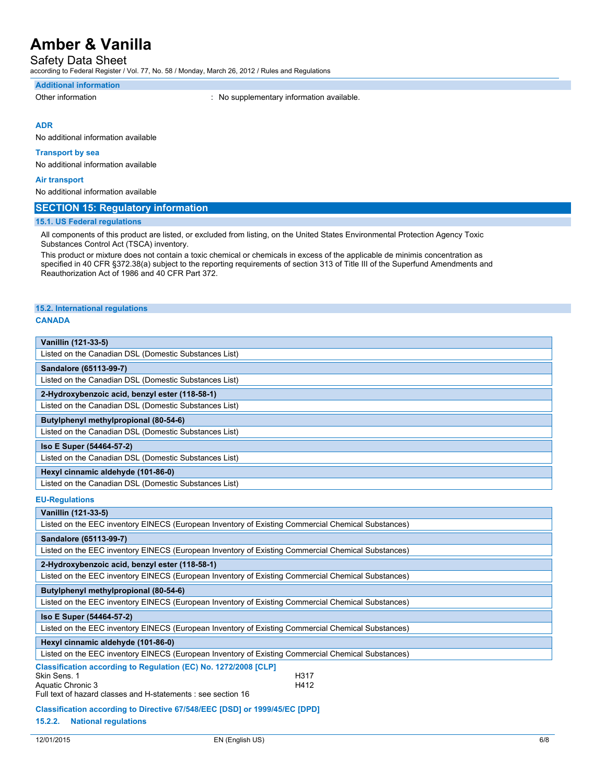Safety Data Sheet

according to Federal Register / Vol. 77, No. 58 / Monday, March 26, 2012 / Rules and Regulations

#### **Additional information**

Other information **contract in the contract of the Contract Contract Contract Contract Contract Contract Contract Contract Contract Contract Contract Contract Contract Contract Contract Contract Contract Contract Contract** 

### **ADR**

No additional information available

#### **Transport by sea**

No additional information available

#### **Air transport**

No additional information available

### **SECTION 15: Regulatory information**

#### **15.1. US Federal regulations**

All components of this product are listed, or excluded from listing, on the United States Environmental Protection Agency Toxic Substances Control Act (TSCA) inventory.

This product or mixture does not contain a toxic chemical or chemicals in excess of the applicable de minimis concentration as specified in 40 CFR §372.38(a) subject to the reporting requirements of section 313 of Title III of the Superfund Amendments and Reauthorization Act of 1986 and 40 CFR Part 372.

### **15.2. International regulations**

#### **CANADA**

| Vanillin (121-33-5)                                   |
|-------------------------------------------------------|
| Listed on the Canadian DSL (Domestic Substances List) |
| Sandalore (65113-99-7)                                |
| Listed on the Canadian DSL (Domestic Substances List) |
| 2-Hydroxybenzoic acid, benzyl ester (118-58-1)        |
| Listed on the Canadian DSL (Domestic Substances List) |
| Butylphenyl methylpropional (80-54-6)                 |
| Listed on the Canadian DSL (Domestic Substances List) |
| Iso E Super (54464-57-2)                              |
| Listed on the Canadian DSL (Domestic Substances List) |
| Hexyl cinnamic aldehyde (101-86-0)                    |
| Listed on the Canadian DSL (Domestic Substances List) |
| <b>EU-Requlations</b>                                 |

#### **EU-Regulations**

| Vanillin (121-33-5)                                                                                                                                                                   |
|---------------------------------------------------------------------------------------------------------------------------------------------------------------------------------------|
| Listed on the EEC inventory EINECS (European Inventory of Existing Commercial Chemical Substances)                                                                                    |
| Sandalore (65113-99-7)                                                                                                                                                                |
| Listed on the EEC inventory EINECS (European Inventory of Existing Commercial Chemical Substances)                                                                                    |
| 2-Hydroxybenzoic acid, benzyl ester (118-58-1)                                                                                                                                        |
| Listed on the EEC inventory EINECS (European Inventory of Existing Commercial Chemical Substances)                                                                                    |
| Butylphenyl methylpropional (80-54-6)                                                                                                                                                 |
| Listed on the EEC inventory EINECS (European Inventory of Existing Commercial Chemical Substances)                                                                                    |
| Iso E Super (54464-57-2)                                                                                                                                                              |
| Listed on the EEC inventory EINECS (European Inventory of Existing Commercial Chemical Substances)                                                                                    |
| Hexyl cinnamic aldehyde (101-86-0)                                                                                                                                                    |
| Listed on the EEC inventory EINECS (European Inventory of Existing Commercial Chemical Substances)                                                                                    |
| Classification according to Regulation (EC) No. 1272/2008 [CLP]<br>Skin Sens. 1<br>H317<br>H412<br>Aquatic Chronic 3<br>Full text of hazard classes and H-statements : see section 16 |
| Classification according to Directive 67/548/EEC [DSD] or 1999/45/EC [DPD]<br>15.2.2.<br><b>National regulations</b>                                                                  |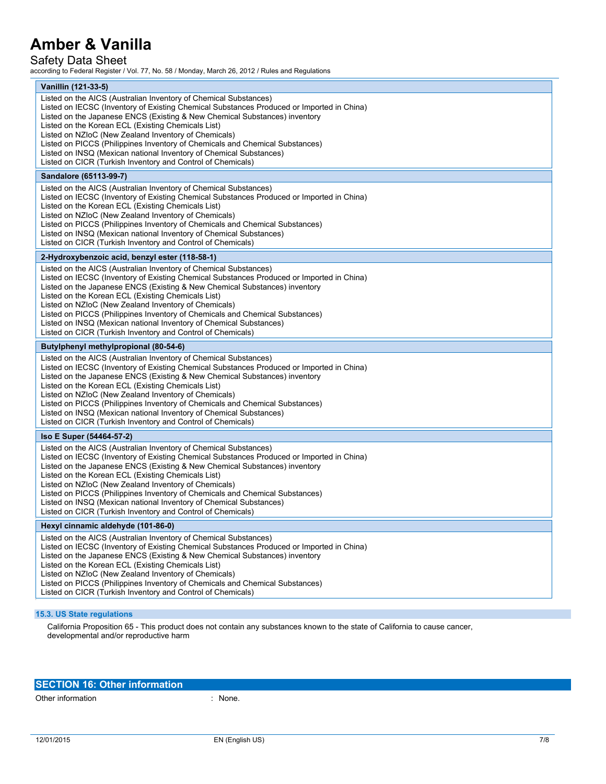# Safety Data Sheet

according to Federal Register / Vol. 77, No. 58 / Monday, March 26, 2012 / Rules and Regulations

| Vanillin (121-33-5)                                                                                                                                                                                                                                                                                                                                                                                                                                                                                                                                                            |
|--------------------------------------------------------------------------------------------------------------------------------------------------------------------------------------------------------------------------------------------------------------------------------------------------------------------------------------------------------------------------------------------------------------------------------------------------------------------------------------------------------------------------------------------------------------------------------|
| Listed on the AICS (Australian Inventory of Chemical Substances)<br>Listed on IECSC (Inventory of Existing Chemical Substances Produced or Imported in China)<br>Listed on the Japanese ENCS (Existing & New Chemical Substances) inventory<br>Listed on the Korean ECL (Existing Chemicals List)<br>Listed on NZIoC (New Zealand Inventory of Chemicals)<br>Listed on PICCS (Philippines Inventory of Chemicals and Chemical Substances)<br>Listed on INSQ (Mexican national Inventory of Chemical Substances)<br>Listed on CICR (Turkish Inventory and Control of Chemicals) |
| Sandalore (65113-99-7)                                                                                                                                                                                                                                                                                                                                                                                                                                                                                                                                                         |
| Listed on the AICS (Australian Inventory of Chemical Substances)<br>Listed on IECSC (Inventory of Existing Chemical Substances Produced or Imported in China)<br>Listed on the Korean ECL (Existing Chemicals List)<br>Listed on NZIoC (New Zealand Inventory of Chemicals)<br>Listed on PICCS (Philippines Inventory of Chemicals and Chemical Substances)<br>Listed on INSQ (Mexican national Inventory of Chemical Substances)<br>Listed on CICR (Turkish Inventory and Control of Chemicals)                                                                               |
| 2-Hydroxybenzoic acid, benzyl ester (118-58-1)                                                                                                                                                                                                                                                                                                                                                                                                                                                                                                                                 |
| Listed on the AICS (Australian Inventory of Chemical Substances)<br>Listed on IECSC (Inventory of Existing Chemical Substances Produced or Imported in China)<br>Listed on the Japanese ENCS (Existing & New Chemical Substances) inventory<br>Listed on the Korean ECL (Existing Chemicals List)<br>Listed on NZIoC (New Zealand Inventory of Chemicals)<br>Listed on PICCS (Philippines Inventory of Chemicals and Chemical Substances)<br>Listed on INSQ (Mexican national Inventory of Chemical Substances)<br>Listed on CICR (Turkish Inventory and Control of Chemicals) |
| Butylphenyl methylpropional (80-54-6)                                                                                                                                                                                                                                                                                                                                                                                                                                                                                                                                          |
| Listed on the AICS (Australian Inventory of Chemical Substances)<br>Listed on IECSC (Inventory of Existing Chemical Substances Produced or Imported in China)<br>Listed on the Japanese ENCS (Existing & New Chemical Substances) inventory<br>Listed on the Korean ECL (Existing Chemicals List)<br>Listed on NZIoC (New Zealand Inventory of Chemicals)<br>Listed on PICCS (Philippines Inventory of Chemicals and Chemical Substances)<br>Listed on INSQ (Mexican national Inventory of Chemical Substances)<br>Listed on CICR (Turkish Inventory and Control of Chemicals) |
| Iso E Super (54464-57-2)                                                                                                                                                                                                                                                                                                                                                                                                                                                                                                                                                       |
| Listed on the AICS (Australian Inventory of Chemical Substances)<br>Listed on IECSC (Inventory of Existing Chemical Substances Produced or Imported in China)<br>Listed on the Japanese ENCS (Existing & New Chemical Substances) inventory<br>Listed on the Korean ECL (Existing Chemicals List)<br>Listed on NZIoC (New Zealand Inventory of Chemicals)<br>Listed on PICCS (Philippines Inventory of Chemicals and Chemical Substances)<br>Listed on INSQ (Mexican national Inventory of Chemical Substances)<br>Listed on CICR (Turkish Inventory and Control of Chemicals) |
| Hexyl cinnamic aldehyde (101-86-0)                                                                                                                                                                                                                                                                                                                                                                                                                                                                                                                                             |
| Listed on the AICS (Australian Inventory of Chemical Substances)<br>Listed on IECSC (Inventory of Existing Chemical Substances Produced or Imported in China)<br>Listed on the Japanese ENCS (Existing & New Chemical Substances) inventory<br>Listed on the Korean ECL (Existing Chemicals List)<br>Listed on NZIoC (New Zealand Inventory of Chemicals)<br>Listed on PICCS (Philippines Inventory of Chemicals and Chemical Substances)<br>Listed on CICR (Turkish Inventory and Control of Chemicals)                                                                       |
|                                                                                                                                                                                                                                                                                                                                                                                                                                                                                                                                                                                |

California Proposition 65 - This product does not contain any substances known to the state of California to cause cancer, developmental and/or reproductive harm

## **SECTION 16: Other information**

Other information  $\blacksquare$  : None.